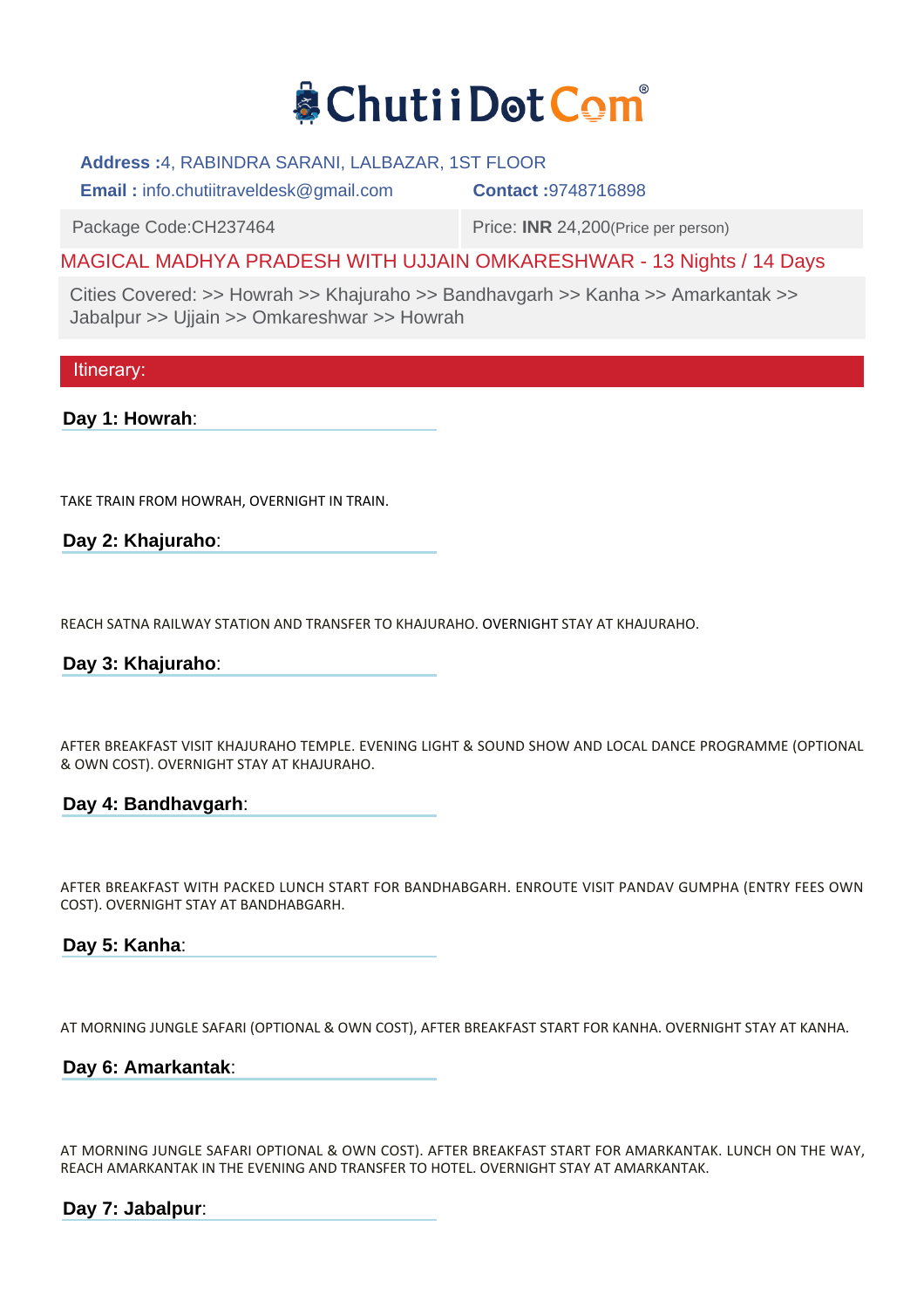

### **Address :**4, RABINDRA SARANI, LALBAZAR, 1ST FLOOR

**Email :** info.chutiitraveldesk@gmail.com **Contact :**9748716898

Package Code:CH237464 Price: **INR** 24,200 (Price per person)

# MAGICAL MADHYA PRADESH WITH UJJAIN OMKARESHWAR - 13 Nights / 14 Days

Cities Covered: >> Howrah >> Khajuraho >> Bandhavgarh >> Kanha >> Amarkantak >> Jabalpur >> Ujjain >> Omkareshwar >> Howrah

Itinerary:

**Day 1: Howrah**:

TAKE TRAIN FROM HOWRAH, OVERNIGHT IN TRAIN.

**Day 2: Khajuraho**:

REACH SATNA RAILWAY STATION AND TRANSFER TO KHAJURAHO. OVERNIGHT STAY AT KHAJURAHO.

**Day 3: Khajuraho**:

AFTER BREAKFAST VISIT KHAJURAHO TEMPLE. EVENING LIGHT & SOUND SHOW AND LOCAL DANCE PROGRAMME (OPTIONAL & OWN COST). OVERNIGHT STAY AT KHAJURAHO.

# **Day 4: Bandhavgarh**:

AFTER BREAKFAST WITH PACKED LUNCH START FOR BANDHABGARH. ENROUTE VISIT PANDAV GUMPHA (ENTRY FEES OWN COST). OVERNIGHT STAY AT BANDHABGARH.

**Day 5: Kanha**:

AT MORNING JUNGLE SAFARI (OPTIONAL & OWN COST), AFTER BREAKFAST START FOR KANHA. OVERNIGHT STAY AT KANHA.

# **Day 6: Amarkantak**:

AT MORNING JUNGLE SAFARI OPTIONAL & OWN COST). AFTER BREAKFAST START FOR AMARKANTAK. LUNCH ON THE WAY, REACH AMARKANTAK IN THE EVENING AND TRANSFER TO HOTEL. OVERNIGHT STAY AT AMARKANTAK.

**Day 7: Jabalpur**: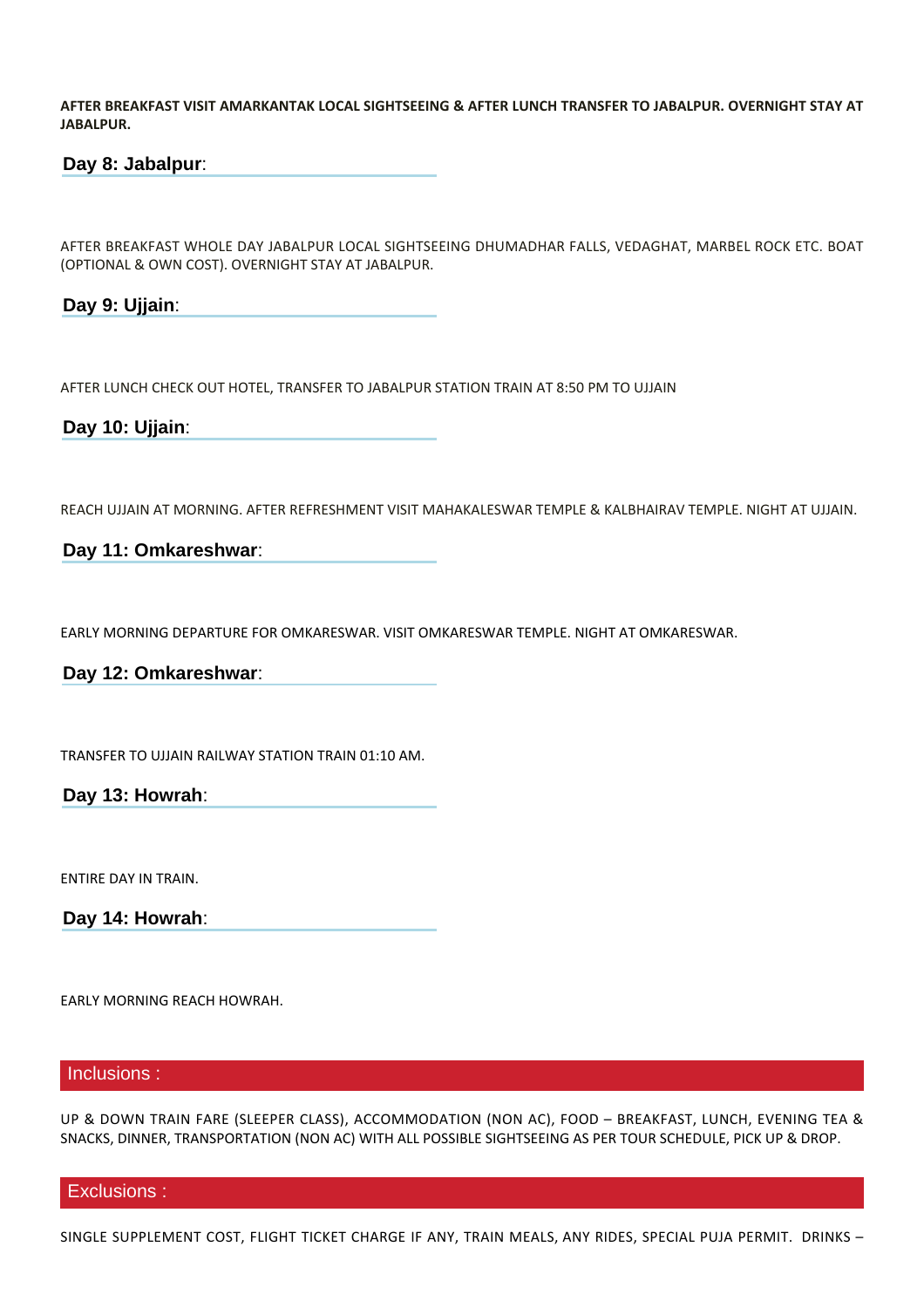**AFTER BREAKFAST VISIT AMARKANTAK LOCAL SIGHTSEEING & AFTER LUNCH TRANSFER TO JABALPUR. OVERNIGHT STAY AT JABALPUR.**

# **Day 8: Jabalpur**:

AFTER BREAKFAST WHOLE DAY JABALPUR LOCAL SIGHTSEEING DHUMADHAR FALLS, VEDAGHAT, MARBEL ROCK ETC. BOAT (OPTIONAL & OWN COST). OVERNIGHT STAY AT JABALPUR.

**Day 9: Ujjain**:

AFTER LUNCH CHECK OUT HOTEL, TRANSFER TO JABALPUR STATION TRAIN AT 8:50 PM TO UJJAIN

**Day 10: Ujjain**:

REACH UJJAIN AT MORNING. AFTER REFRESHMENT VISIT MAHAKALESWAR TEMPLE & KALBHAIRAV TEMPLE. NIGHT AT UJJAIN.

### **Day 11: Omkareshwar**:

EARLY MORNING DEPARTURE FOR OMKARESWAR. VISIT OMKARESWAR TEMPLE. NIGHT AT OMKARESWAR.

# **Day 12: Omkareshwar**:

TRANSFER TO UJJAIN RAILWAY STATION TRAIN 01:10 AM. 

**Day 13: Howrah**:

ENTIRE DAY IN TRAIN.

**Day 14: Howrah**:

EARLY MORNING REACH HOWRAH.

#### Inclusions :

UP & DOWN TRAIN FARE (SLEEPER CLASS), ACCOMMODATION (NON AC), FOOD – BREAKFAST, LUNCH, EVENING TEA & SNACKS, DINNER, TRANSPORTATION (NON AC) WITH ALL POSSIBLE SIGHTSEEING AS PER TOUR SCHEDULE, PICK UP & DROP.

#### Exclusions :

SINGLE SUPPLEMENT COST, FLIGHT TICKET CHARGE IF ANY, TRAIN MEALS, ANY RIDES, SPECIAL PUJA PERMIT. DRINKS –